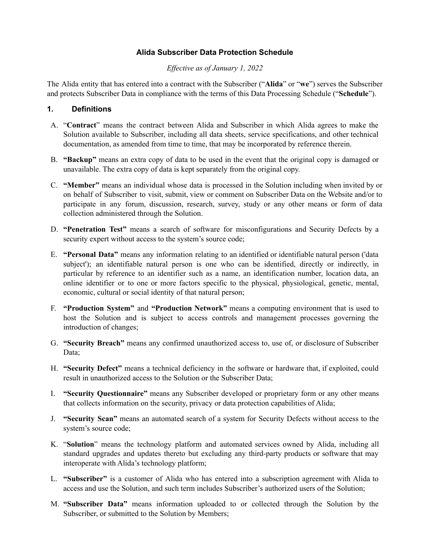### **Alida Subscriber Data Protection Schedule**

#### *Ef ective as of January 1, 2022*

The Alida entity that has entered into a contract with the Subscriber ("**Alida**" or "**we**") serves the Subscriber and protects Subscriber Data in compliance with the terms of this Data Processing Schedule ("**Schedule**").

### **1. Definitions**

- A. "**Contract**" means the contract between Alida and Subscriber in which Alida agrees to make the Solution available to Subscriber, including all data sheets, service specifications, and other technical documentation, as amended from time to time, that may be incorporated by reference therein.
- B. **"Backup"** means an extra copy of data to be used in the event that the original copy is damaged or unavailable. The extra copy of data is kept separately from the original copy.
- C. **"Member"** means an individual whose data is processed in the Solution including when invited by or on behalf of Subscriber to visit, submit, view or comment on Subscriber Data on the Website and/or to participate in any forum, discussion, research, survey, study or any other means or form of data collection administered through the Solution.
- D. **"Penetration Test"** means a search of software for misconfigurations and Security Defects by a security expert without access to the system's source code;
- E. **"Personal Data"** means any information relating to an identified or identifiable natural person ('data subject'); an identifiable natural person is one who can be identified, directly or indirectly, in particular by reference to an identifier such as a name, an identification number, location data, an online identifier or to one or more factors specific to the physical, physiological, genetic, mental, economic, cultural or social identity of that natural person;
- F. **"Production System"** and **"Production Network"** means a computing environment that is used to host the Solution and is subject to access controls and management processes governing the introduction of changes;
- G. **"Security Breach"** means any confirmed unauthorized access to, use of, or disclosure of Subscriber Data:
- H. **"Security Defect"** means a technical deficiency in the software or hardware that, if exploited, could result in unauthorized access to the Solution or the Subscriber Data;
- I. **"Security Questionnaire"** means any Subscriber developed or proprietary form or any other means that collects information on the security, privacy or data protection capabilities of Alida;
- J. **"Security Scan"** means an automated search of a system for Security Defects without access to the system's source code;
- K. "**Solution**" means the technology platform and automated services owned by Alida, including all standard upgrades and updates thereto but excluding any third-party products or software that may interoperate with Alida's technology platform;
- L. **"Subscriber"** is a customer of Alida who has entered into a subscription agreement with Alida to access and use the Solution, and such term includes Subscriber's authorized users of the Solution;
- M. **"Subscriber Data"** means information uploaded to or collected through the Solution by the Subscriber, or submitted to the Solution by Members;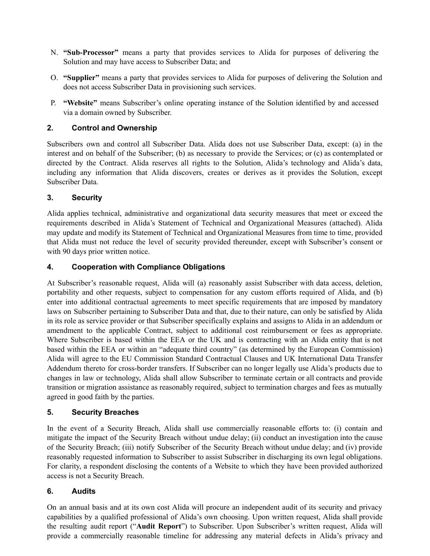- N. **"Sub-Processor"** means a party that provides services to Alida for purposes of delivering the Solution and may have access to Subscriber Data; and
- O. **"Supplier"** means a party that provides services to Alida for purposes of delivering the Solution and does not access Subscriber Data in provisioning such services.
- P. **"Website"** means Subscriber's online operating instance of the Solution identified by and accessed via a domain owned by Subscriber.

### **2. Control and Ownership**

Subscribers own and control all Subscriber Data. Alida does not use Subscriber Data, except: (a) in the interest and on behalf of the Subscriber; (b) as necessary to provide the Services; or (c) as contemplated or directed by the Contract. Alida reserves all rights to the Solution, Alida's technology and Alida's data, including any information that Alida discovers, creates or derives as it provides the Solution, except Subscriber Data.

### **3. Security**

Alida applies technical, administrative and organizational data security measures that meet or exceed the requirements described in Alida's Statement of Technical and Organizational Measures (attached). Alida may update and modify its Statement of Technical and Organizational Measures from time to time, provided that Alida must not reduce the level of security provided thereunder, except with Subscriber's consent or with 90 days prior written notice.

### **4. Cooperation with Compliance Obligations**

At Subscriber's reasonable request, Alida will (a) reasonably assist Subscriber with data access, deletion, portability and other requests, subject to compensation for any custom efforts required of Alida, and (b) enter into additional contractual agreements to meet specific requirements that are imposed by mandatory laws on Subscriber pertaining to Subscriber Data and that, due to their nature, can only be satisfied by Alida in its role as service provider or that Subscriber specifically explains and assigns to Alida in an addendum or amendment to the applicable Contract, subject to additional cost reimbursement or fees as appropriate. Where Subscriber is based within the EEA or the UK and is contracting with an Alida entity that is not based within the EEA or within an "adequate third country" (as determined by the European Commission) Alida will agree to the EU Commission Standard Contractual Clauses and UK International Data Transfer Addendum thereto for cross-border transfers. If Subscriber can no longer legally use Alida's products due to changes in law or technology, Alida shall allow Subscriber to terminate certain or all contracts and provide transition or migration assistance as reasonably required, subject to termination charges and fees as mutually agreed in good faith by the parties.

### **5. Security Breaches**

In the event of a Security Breach, Alida shall use commercially reasonable efforts to: (i) contain and mitigate the impact of the Security Breach without undue delay; (ii) conduct an investigation into the cause of the Security Breach; (iii) notify Subscriber of the Security Breach without undue delay; and (iv) provide reasonably requested information to Subscriber to assist Subscriber in discharging its own legal obligations. For clarity, a respondent disclosing the contents of a Website to which they have been provided authorized access is not a Security Breach.

### **6. Audits**

On an annual basis and at its own cost Alida will procure an independent audit of its security and privacy capabilities by a qualified professional of Alida's own choosing. Upon written request, Alida shall provide the resulting audit report ("**Audit Report**") to Subscriber. Upon Subscriber's written request, Alida will provide a commercially reasonable timeline for addressing any material defects in Alida's privacy and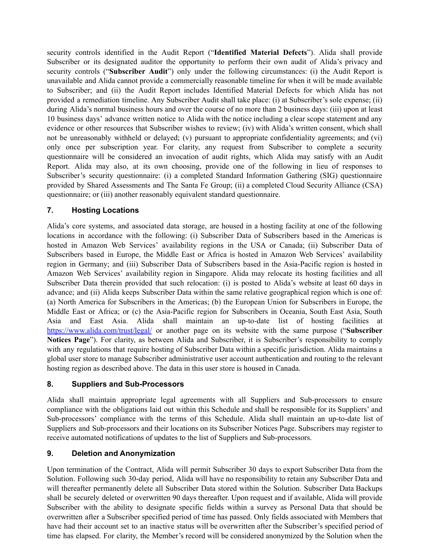security controls identified in the Audit Report ("**Identified Material Defects**"). Alida shall provide Subscriber or its designated auditor the opportunity to perform their own audit of Alida's privacy and security controls ("**Subscriber Audit**") only under the following circumstances: (i) the Audit Report is unavailable and Alida cannot provide a commercially reasonable timeline for when it will be made available to Subscriber; and (ii) the Audit Report includes Identified Material Defects for which Alida has not provided a remediation timeline. Any Subscriber Audit shall take place: (i) at Subscriber's sole expense; (ii) during Alida's normal business hours and over the course of no more than 2 business days: (iii) upon at least 10 business days' advance written notice to Alida with the notice including a clear scope statement and any evidence or other resources that Subscriber wishes to review; (iv) with Alida's written consent, which shall not be unreasonably withheld or delayed; (v) pursuant to appropriate confidentiality agreements; and (vi) only once per subscription year. For clarity, any request from Subscriber to complete a security questionnaire will be considered an invocation of audit rights, which Alida may satisfy with an Audit Report. Alida may also, at its own choosing, provide one of the following in lieu of responses to Subscriber's security questionnaire: (i) a completed Standard Information Gathering (SIG) questionnaire provided by Shared Assessments and The Santa Fe Group; (ii) a completed Cloud Security Alliance (CSA) questionnaire; or (iii) another reasonably equivalent standard questionnaire.

### **7. Hosting Locations**

Alida's core systems, and associated data storage, are housed in a hosting facility at one of the following locations in accordance with the following: (i) Subscriber Data of Subscribers based in the Americas is hosted in Amazon Web Services' availability regions in the USA or Canada; (ii) Subscriber Data of Subscribers based in Europe, the Middle East or Africa is hosted in Amazon Web Services' availability region in Germany; and (iii) Subscriber Data of Subscribers based in the Asia-Pacific region is hosted in Amazon Web Services' availability region in Singapore. Alida may relocate its hosting facilities and all Subscriber Data therein provided that such relocation: (i) is posted to Alida's website at least 60 days in advance; and (ii) Alida keeps Subscriber Data within the same relative geographical region which is one of: (a) North America for Subscribers in the Americas; (b) the European Union for Subscribers in Europe, the Middle East or Africa; or (c) the Asia-Pacific region for Subscribers in Oceania, South East Asia, South Asia and East Asia. Alida shall maintain an up-to-date list of hosting facilities at <https://www.alida.com/trust/legal/> or another page on its website with the same purpose ("**Subscriber Notices Page**"). For clarity, as between Alida and Subscriber, it is Subscriber's responsibility to comply with any regulations that require hosting of Subscriber Data within a specific jurisdiction. Alida maintains a global user store to manage Subscriber administrative user account authentication and routing to the relevant hosting region as described above. The data in this user store is housed in Canada.

### **8. Suppliers and Sub-Processors**

Alida shall maintain appropriate legal agreements with all Suppliers and Sub-processors to ensure compliance with the obligations laid out within this Schedule and shall be responsible for its Suppliers' and Sub-processors' compliance with the terms of this Schedule. Alida shall maintain an up-to-date list of Suppliers and Sub-processors and their locations on its Subscriber Notices Page. Subscribers may register to receive automated notifications of updates to the list of Suppliers and Sub-processors.

# **9. Deletion and Anonymization**

Upon termination of the Contract, Alida will permit Subscriber 30 days to export Subscriber Data from the Solution. Following such 30-day period, Alida will have no responsibility to retain any Subscriber Data and will thereafter permanently delete all Subscriber Data stored within the Solution. Subscriber Data Backups shall be securely deleted or overwritten 90 days thereafter. Upon request and if available, Alida will provide Subscriber with the ability to designate specific fields within a survey as Personal Data that should be overwritten after a Subscriber specified period of time has passed. Only fields associated with Members that have had their account set to an inactive status will be overwritten after the Subscriber's specified period of time has elapsed. For clarity, the Member's record will be considered anonymized by the Solution when the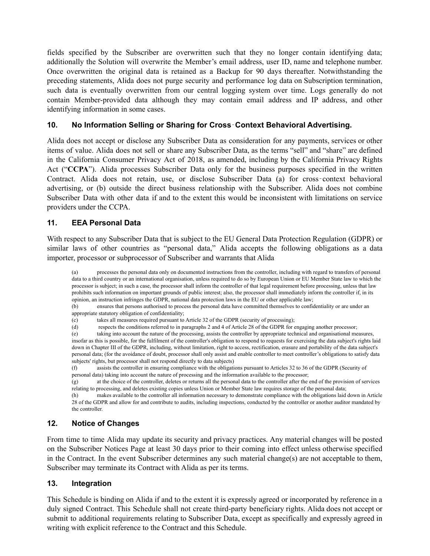fields specified by the Subscriber are overwritten such that they no longer contain identifying data; additionally the Solution will overwrite the Member's email address, user ID, name and telephone number. Once overwritten the original data is retained as a Backup for 90 days thereafter. Notwithstanding the preceding statements, Alida does not purge security and performance log data on Subscription termination, such data is eventually overwritten from our central logging system over time. Logs generally do not contain Member-provided data although they may contain email address and IP address, and other identifying information in some cases.

### **10. No Information Selling or Sharing for Cross**‐**Context Behavioral Advertising.**

Alida does not accept or disclose any Subscriber Data as consideration for any payments, services or other items of value. Alida does not sell or share any Subscriber Data, as the terms "sell" and "share" are defined in the California Consumer Privacy Act of 2018, as amended, including by the California Privacy Rights Act ("**CCPA**"). Alida processes Subscriber Data only for the business purposes specified in the written Contract. Alida does not retain, use, or disclose Subscriber Data (a) for cross-context behavioral advertising, or (b) outside the direct business relationship with the Subscriber. Alida does not combine Subscriber Data with other data if and to the extent this would be inconsistent with limitations on service providers under the CCPA.

### **11. EEA Personal Data**

With respect to any Subscriber Data that is subject to the EU General Data Protection Regulation (GDPR) or similar laws of other countries as "personal data," Alida accepts the following obligations as a data importer, processor or subprocessor of Subscriber and warrants that Alida

(a) processes the personal data only on documented instructions from the controller, including with regard to transfers of personal data to a third country or an international organisation, unless required to do so by European Union or EU Member State law to which the processor is subject; in such a case, the processor shall inform the controller of that legal requirement before processing, unless that law prohibits such information on important grounds of public interest; also, the processor shall immediately inform the controller if, in its opinion, an instruction infringes the GDPR, national data protection laws in the EU or other applicable law;

(b) ensures that persons authorised to process the personal data have committed themselves to confidentiality or are under an appropriate statutory obligation of confidentiality;

(e) taking into account the nature of the processing, assists the controller by appropriate technical and organisational measures, insofar as this is possible, for the fulfilment of the controller's obligation to respond to requests for exercising the data subject's rights laid down in Chapter III of the GDPR, including, without limitation, right to access, rectification, erasure and portability of the data subject's personal data; (for the avoidance of doubt, processor shall only assist and enable controller to meet controller's obligations to satisfy data subjects' rights, but processor shall not respond directly to data subjects)

(f) assists the controller in ensuring compliance with the obligations pursuant to Articles 32 to 36 of the GDPR (Security of personal data) taking into account the nature of processing and the information available to the processor;

(g) at the choice of the controller, deletes or returns all the personal data to the controller after the end of the provision of services relating to processing, and deletes existing copies unless Union or Member State law requires storage of the personal data;

(h) makes available to the controller all information necessary to demonstrate compliance with the obligations laid down in Article 28 of the GDPR and allow for and contribute to audits, including inspections, conducted by the controller or another auditor mandated by the controller.

# **12. Notice of Changes**

From time to time Alida may update its security and privacy practices. Any material changes will be posted on the Subscriber Notices Page at least 30 days prior to their coming into effect unless otherwise specified in the Contract. In the event Subscriber determines any such material change(s) are not acceptable to them, Subscriber may terminate its Contract with Alida as per its terms.

# **13. Integration**

This Schedule is binding on Alida if and to the extent it is expressly agreed or incorporated by reference in a duly signed Contract. This Schedule shall not create third-party beneficiary rights. Alida does not accept or submit to additional requirements relating to Subscriber Data, except as specifically and expressly agreed in writing with explicit reference to the Contract and this Schedule.

<sup>(</sup>c) takes all measures required pursuant to Article 32 of the GDPR (security of processing);

<sup>(</sup>d) respects the conditions referred to in paragraphs 2 and 4 of Article 28 of the GDPR for engaging another processor;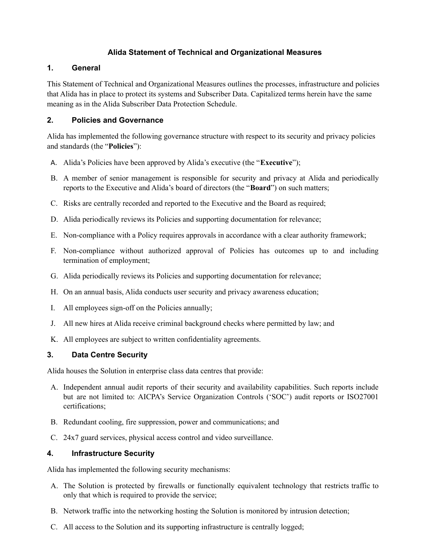## **Alida Statement of Technical and Organizational Measures**

### **1. General**

This Statement of Technical and Organizational Measures outlines the processes, infrastructure and policies that Alida has in place to protect its systems and Subscriber Data. Capitalized terms herein have the same meaning as in the Alida Subscriber Data Protection Schedule.

## **2. Policies and Governance**

Alida has implemented the following governance structure with respect to its security and privacy policies and standards (the "**Policies**"):

- A. Alida's Policies have been approved by Alida's executive (the "**Executive**");
- B. A member of senior management is responsible for security and privacy at Alida and periodically reports to the Executive and Alida's board of directors (the "**Board**") on such matters;
- C. Risks are centrally recorded and reported to the Executive and the Board as required;
- D. Alida periodically reviews its Policies and supporting documentation for relevance;
- E. Non-compliance with a Policy requires approvals in accordance with a clear authority framework;
- F. Non-compliance without authorized approval of Policies has outcomes up to and including termination of employment;
- G. Alida periodically reviews its Policies and supporting documentation for relevance;
- H. On an annual basis, Alida conducts user security and privacy awareness education;
- I. All employees sign-off on the Policies annually;
- J. All new hires at Alida receive criminal background checks where permitted by law; and
- K. All employees are subject to written confidentiality agreements.

# **3. Data Centre Security**

Alida houses the Solution in enterprise class data centres that provide:

- A. Independent annual audit reports of their security and availability capabilities. Such reports include but are not limited to: AICPA's Service Organization Controls ('SOC') audit reports or ISO27001 certifications;
- B. Redundant cooling, fire suppression, power and communications; and
- C. 24x7 guard services, physical access control and video surveillance.

# **4. Infrastructure Security**

Alida has implemented the following security mechanisms:

- A. The Solution is protected by firewalls or functionally equivalent technology that restricts traffic to only that which is required to provide the service;
- B. Network traffic into the networking hosting the Solution is monitored by intrusion detection;
- C. All access to the Solution and its supporting infrastructure is centrally logged;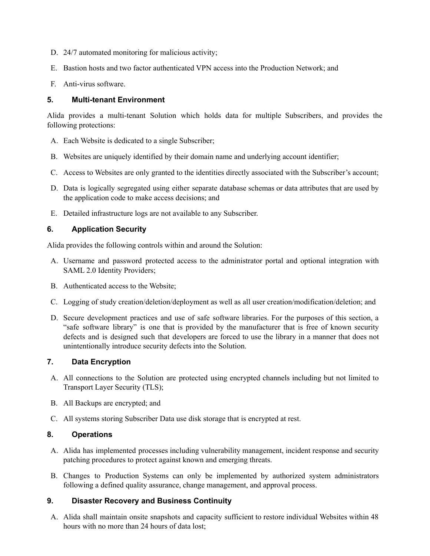- D. 24/7 automated monitoring for malicious activity;
- E. Bastion hosts and two factor authenticated VPN access into the Production Network; and
- F. Anti-virus software.

### **5. Multi-tenant Environment**

Alida provides a multi-tenant Solution which holds data for multiple Subscribers, and provides the following protections:

- A. Each Website is dedicated to a single Subscriber;
- B. Websites are uniquely identified by their domain name and underlying account identifier;
- C. Access to Websites are only granted to the identities directly associated with the Subscriber's account;
- D. Data is logically segregated using either separate database schemas or data attributes that are used by the application code to make access decisions; and
- E. Detailed infrastructure logs are not available to any Subscriber.

### **6. Application Security**

Alida provides the following controls within and around the Solution:

- A. Username and password protected access to the administrator portal and optional integration with SAML 2.0 Identity Providers;
- B. Authenticated access to the Website;
- C. Logging of study creation/deletion/deployment as well as all user creation/modification/deletion; and
- D. Secure development practices and use of safe software libraries. For the purposes of this section, a "safe software library" is one that is provided by the manufacturer that is free of known security defects and is designed such that developers are forced to use the library in a manner that does not unintentionally introduce security defects into the Solution.

### **7. Data Encryption**

- A. All connections to the Solution are protected using encrypted channels including but not limited to Transport Layer Security (TLS);
- B. All Backups are encrypted; and
- C. All systems storing Subscriber Data use disk storage that is encrypted at rest.

### **8. Operations**

- A. Alida has implemented processes including vulnerability management, incident response and security patching procedures to protect against known and emerging threats.
- B. Changes to Production Systems can only be implemented by authorized system administrators following a defined quality assurance, change management, and approval process.

### **9. Disaster Recovery and Business Continuity**

A. Alida shall maintain onsite snapshots and capacity sufficient to restore individual Websites within 48 hours with no more than 24 hours of data lost;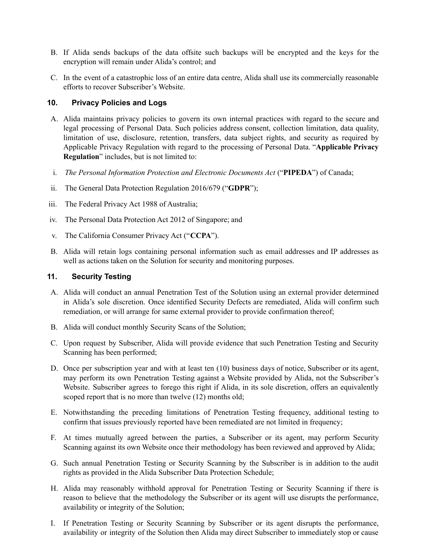- B. If Alida sends backups of the data offsite such backups will be encrypted and the keys for the encryption will remain under Alida's control; and
- C. In the event of a catastrophic loss of an entire data centre, Alida shall use its commercially reasonable efforts to recover Subscriber's Website.

### **10. Privacy Policies and Logs**

- A. Alida maintains privacy policies to govern its own internal practices with regard to the secure and legal processing of Personal Data. Such policies address consent, collection limitation, data quality, limitation of use, disclosure, retention, transfers, data subject rights, and security as required by Applicable Privacy Regulation with regard to the processing of Personal Data. "**Applicable Privacy Regulation**" includes, but is not limited to:
- i. *The Personal Information Protection and Electronic Documents Act* ("**PIPEDA**") of Canada;
- ii. The General Data Protection Regulation 2016/679 ("**GDPR**");
- iii. The Federal Privacy Act 1988 of Australia;
- iv. The Personal Data Protection Act 2012 of Singapore; and
- v. The California Consumer Privacy Act ("**CCPA**").
- B. Alida will retain logs containing personal information such as email addresses and IP addresses as well as actions taken on the Solution for security and monitoring purposes.

#### **11. Security Testing**

- A. Alida will conduct an annual Penetration Test of the Solution using an external provider determined in Alida's sole discretion. Once identified Security Defects are remediated, Alida will confirm such remediation, or will arrange for same external provider to provide confirmation thereof;
- B. Alida will conduct monthly Security Scans of the Solution;
- C. Upon request by Subscriber, Alida will provide evidence that such Penetration Testing and Security Scanning has been performed;
- D. Once per subscription year and with at least ten (10) business days of notice, Subscriber or its agent, may perform its own Penetration Testing against a Website provided by Alida, not the Subscriber's Website. Subscriber agrees to forego this right if Alida, in its sole discretion, offers an equivalently scoped report that is no more than twelve (12) months old;
- E. Notwithstanding the preceding limitations of Penetration Testing frequency, additional testing to confirm that issues previously reported have been remediated are not limited in frequency;
- F. At times mutually agreed between the parties, a Subscriber or its agent, may perform Security Scanning against its own Website once their methodology has been reviewed and approved by Alida;
- G. Such annual Penetration Testing or Security Scanning by the Subscriber is in addition to the audit rights as provided in the Alida Subscriber Data Protection Schedule;
- H. Alida may reasonably withhold approval for Penetration Testing or Security Scanning if there is reason to believe that the methodology the Subscriber or its agent will use disrupts the performance, availability or integrity of the Solution;
- I. If Penetration Testing or Security Scanning by Subscriber or its agent disrupts the performance, availability or integrity of the Solution then Alida may direct Subscriber to immediately stop or cause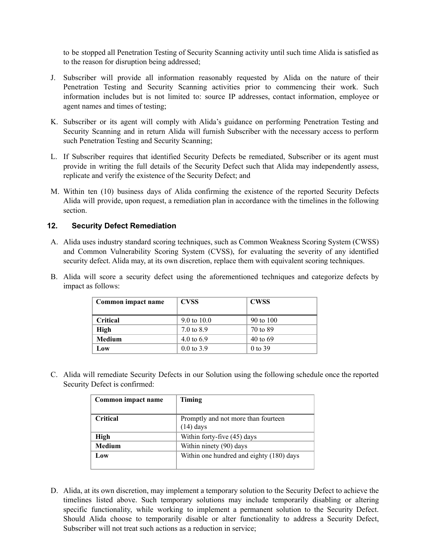to be stopped all Penetration Testing of Security Scanning activity until such time Alida is satisfied as to the reason for disruption being addressed;

- J. Subscriber will provide all information reasonably requested by Alida on the nature of their Penetration Testing and Security Scanning activities prior to commencing their work. Such information includes but is not limited to: source IP addresses, contact information, employee or agent names and times of testing;
- K. Subscriber or its agent will comply with Alida's guidance on performing Penetration Testing and Security Scanning and in return Alida will furnish Subscriber with the necessary access to perform such Penetration Testing and Security Scanning;
- L. If Subscriber requires that identified Security Defects be remediated, Subscriber or its agent must provide in writing the full details of the Security Defect such that Alida may independently assess, replicate and verify the existence of the Security Defect; and
- M. Within ten (10) business days of Alida confirming the existence of the reported Security Defects Alida will provide, upon request, a remediation plan in accordance with the timelines in the following section.

### **12. Security Defect Remediation**

- A. Alida uses industry standard scoring techniques, such as Common Weakness Scoring System (CWSS) and Common Vulnerability Scoring System (CVSS), for evaluating the severity of any identified security defect. Alida may, at its own discretion, replace them with equivalent scoring techniques.
- B. Alida will score a security defect using the aforementioned techniques and categorize defects by impact as follows:

| Common impact name | <b>CVSS</b>           | <b>CWSS</b> |
|--------------------|-----------------------|-------------|
| <b>Critical</b>    | 9.0 to $10.0$         | 90 to 100   |
| High               | 7.0 to 8.9            | 70 to 89    |
| Medium             | 4.0 to $6.9$          | 40 to 69    |
| Low                | $0.0 \text{ to } 3.9$ | $0$ to 39   |

C. Alida will remediate Security Defects in our Solution using the following schedule once the reported Security Defect is confirmed:

| Common impact name | Timing                                             |
|--------------------|----------------------------------------------------|
| <b>Critical</b>    | Promptly and not more than fourteen<br>$(14)$ days |
| High               | Within forty-five (45) days                        |
| Medium             | Within ninety (90) days                            |
| Low                | Within one hundred and eighty (180) days           |

D. Alida, at its own discretion, may implement a temporary solution to the Security Defect to achieve the timelines listed above. Such temporary solutions may include temporarily disabling or altering specific functionality, while working to implement a permanent solution to the Security Defect. Should Alida choose to temporarily disable or alter functionality to address a Security Defect, Subscriber will not treat such actions as a reduction in service;